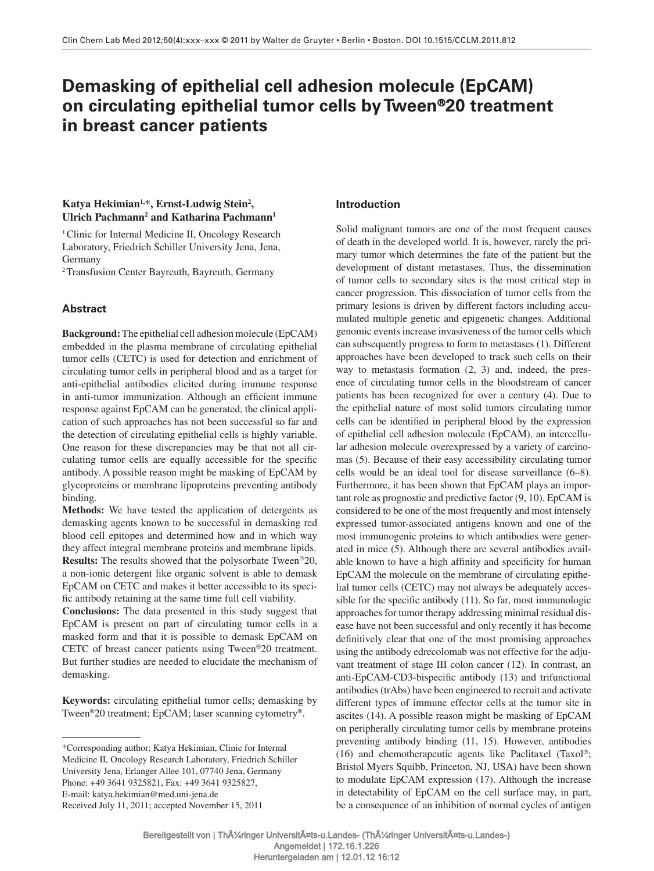# **Demasking of epithelial cell adhesion molecule (EpCAM) on circulating epithelial tumor cells by Tween** ®**20 treatment in breast cancer patients**

# Katya Hekimian<sup>1,\*</sup>, Ernst-Ludwig Stein<sup>2</sup>, Ulrich Pachmann<sup>2</sup> and Katharina Pachmann<sup>1</sup>

<sup>1</sup> Clinic for Internal Medicine II, Oncology Research Laboratory, Friedrich Schiller University Jena, Jena, Germany

<sup>2</sup> Transfusion Center Bayreuth, Bayreuth, Germany

# **Abstract**

**Background:** The epithelial cell adhesion molecule (EpCAM) embedded in the plasma membrane of circulating epithelial tumor cells (CETC) is used for detection and enrichment of circulating tumor cells in peripheral blood and as a target for anti-epithelial antibodies elicited during immune response in anti-tumor immunization. Although an efficient immune response against EpCAM can be generated, the clinical application of such approaches has not been successful so far and the detection of circulating epithelial cells is highly variable. One reason for these discrepancies may be that not all circulating tumor cells are equally accessible for the specific antibody. A possible reason might be masking of EpCAM by glycoproteins or membrane lipoproteins preventing antibody binding.

**Methods:** We have tested the application of detergents as demasking agents known to be successful in demasking red blood cell epitopes and determined how and in which way they affect integral membrane proteins and membrane lipids. **Results:** The results showed that the polysorbate Tween<sup>®20</sup>, a non-ionic detergent like organic solvent is able to demask EpCAM on CETC and makes it better accessible to its specific antibody retaining at the same time full cell viability.

**Conclusions:** The data presented in this study suggest that EpCAM is present on part of circulating tumor cells in a masked form and that it is possible to demask EpCAM on CETC of breast cancer patients using Tween®20 treatment. But further studies are needed to elucidate the mechanism of demasking.

**Keywords:** circulating epithelial tumor cells; demasking by Tween<sup>®</sup>20 treatment; EpCAM; laser scanning cytometry<sup>®</sup>.

# **Introduction**

 Solid malignant tumors are one of the most frequent causes of death in the developed world. It is, however, rarely the primary tumor which determines the fate of the patient but the development of distant metastases. Thus, the dissemination of tumor cells to secondary sites is the most critical step in cancer progression. This dissociation of tumor cells from the primary lesions is driven by different factors including accumulated multiple genetic and epigenetic changes. Additional genomic events increase invasiveness of the tumor cells which can subsequently progress to form to metastases (1) . Different approaches have been developed to track such cells on their way to metastasis formation (2, 3) and, indeed, the presence of circulating tumor cells in the bloodstream of cancer patients has been recognized for over a century (4). Due to the epithelial nature of most solid tumors circulating tumor cells can be identified in peripheral blood by the expression of epithelial cell adhesion molecule (EpCAM), an intercellular adhesion molecule overexpressed by a variety of carcinomas (5) . Because of their easy accessibility circulating tumor cells would be an ideal tool for disease surveillance  $(6-8)$ . Furthermore, it has been shown that EpCAM plays an important role as prognostic and predictive factor (9, 10) . EpCAM is considered to be one of the most frequently and most intensely expressed tumor-associated antigens known and one of the most immunogenic proteins to which antibodies were generated in mice (5) . Although there are several antibodies available known to have a high affinity and specificity for human EpCAM the molecule on the membrane of circulating epithelial tumor cells (CETC) may not always be adequately accessible for the specific antibody  $(11)$ . So far, most immunologic approaches for tumor therapy addressing minimal residual disease have not been successful and only recently it has become definitively clear that one of the most promising approaches using the antibody edrecolomab was not effective for the adjuvant treatment of stage III colon cancer (12). In contrast, an anti-EpCAM-CD3-bispecific antibody (13) and trifunctional antibodies (trAbs) have been engineered to recruit and activate different types of immune effector cells at the tumor site in ascites (14) . A possible reason might be masking of EpCAM on peripherally circulating tumor cells by membrane proteins preventing antibody binding (11, 15). However, antibodies (16) and chemotherapeutic agents like Paclitaxel (Taxol®; Bristol Myers Squibb, Princeton, NJ, USA) have been shown to modulate EpCAM expression (17). Although the increase in detectability of EpCAM on the cell surface may, in part, be a consequence of an inhibition of normal cycles of antigen

 <sup>\*</sup>Corresponding author: Katya Hekimian, Clinic for Internal Medicine II, Oncology Research Laboratory, Friedrich Schiller University Jena, Erlanger Allee 101, 07740 Jena, Germany Phone: +49 3641 9325821, Fax: +49 3641 9325827, E-mail: katya.hekimian@med.uni-jena.de Received July 11, 2011; accepted November 15, 2011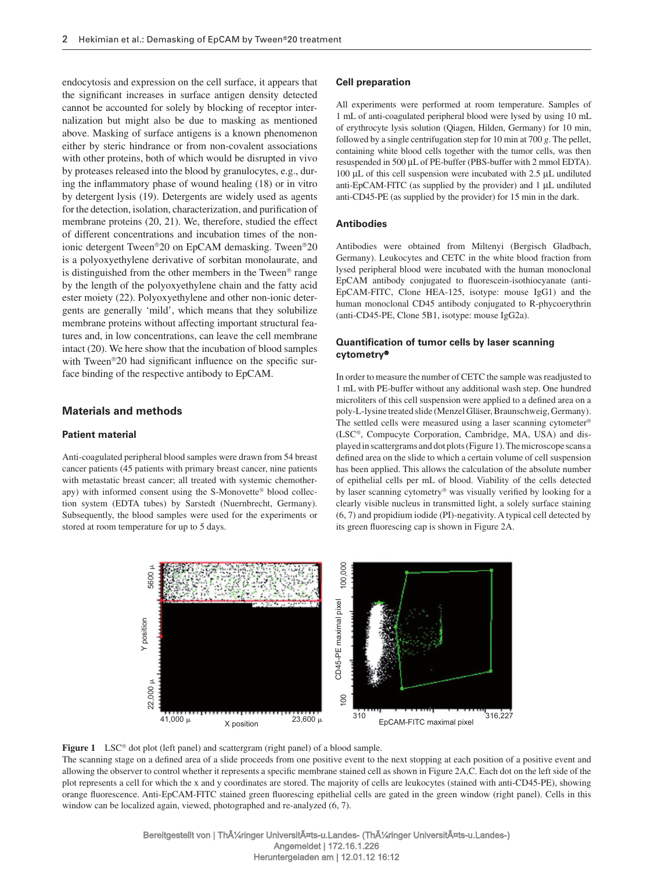endocytosis and expression on the cell surface, it appears that the significant increases in surface antigen density detected cannot be accounted for solely by blocking of receptor internalization but might also be due to masking as mentioned above. Masking of surface antigens is a known phenomenon either by steric hindrance or from non-covalent associations with other proteins, both of which would be disrupted in vivo by proteases released into the blood by granulocytes, e.g., during the inflammatory phase of wound healing (18) or in vitro by detergent lysis (19) . Detergents are widely used as agents for the detection, isolation, characterization, and purification of membrane proteins (20, 21) . We, therefore, studied the effect of different concentrations and incubation times of the nonionic detergent Tween®20 on EpCAM demasking. Tween®20 is a polyoxyethylene derivative of sorbitan monolaurate, and is distinguished from the other members in the Tween<sup>®</sup> range by the length of the polyoxyethylene chain and the fatty acid ester moiety (22) . Polyoxyethylene and other non-ionic detergents are generally 'mild', which means that they solubilize membrane proteins without affecting important structural features and, in low concentrations, can leave the cell membrane intact (20) . We here show that the incubation of blood samples with Tween<sup>®</sup>20 had significant influence on the specific surface binding of the respective antibody to EpCAM.

# **Materials and methods**

#### **Patient material**

 Anti-coagulated peripheral blood samples were drawn from 54 breast cancer patients (45 patients with primary breast cancer, nine patients with metastatic breast cancer; all treated with systemic chemotherapy) with informed consent using the S-Monovette® blood collection system (EDTA tubes) by Sarstedt (Nuernbrecht, Germany). Subsequently, the blood samples were used for the experiments or stored at room temperature for up to 5 days.

### **Cell preparation**

 All experiments were performed at room temperature. Samples of 1 mL of anti-coagulated peripheral blood were lysed by using 10 mL of erythrocyte lysis solution (Qiagen, Hilden, Germany) for 10 min, followed by a single centrifugation step for 10 min at 700  $g$ . The pellet, containing white blood cells together with the tumor cells, was then resuspended in 500 µL of PE-buffer (PBS-buffer with 2 mmol EDTA). 100  $\mu$ L of this cell suspension were incubated with 2.5  $\mu$ L undiluted anti-EpCAM-FITC (as supplied by the provider) and  $1 \mu L$  undiluted anti-CD45-PE (as supplied by the provider) for 15 min in the dark.

## **Antibodies**

 Antibodies were obtained from Miltenyi (Bergisch Gladbach, Germany). Leukocytes and CETC in the white blood fraction from lysed peripheral blood were incubated with the human monoclonal EpCAM antibody conjugated to fluorescein-isothiocyanate (anti-EpCAM-FITC, Clone HEA-125, isotype: mouse IgG1) and the human monoclonal CD45 antibody conjugated to R-phycoerythrin (anti-CD45-PE, Clone 5B1, isotype: mouse IgG2a).

## **Quantification of tumor cells by laser scanning cytometry** ®

 In order to measure the number of CETC the sample was readjusted to 1 mL with PE-buffer without any additional wash step. One hundred microliters of this cell suspension were applied to a defined area on a poly-L-lysine treated slide (Menzel Gläser, Braunschweig, Germany). The settled cells were measured using a laser scanning cytometer<sup>®</sup> (LSC®, Compucyte Corporation, Cambridge, MA, USA) and displayed in scattergrams and dot plots (Figure 1 ). The microscope scans a defined area on the slide to which a certain volume of cell suspension has been applied. This allows the calculation of the absolute number of epithelial cells per mL of blood. Viability of the cells detected by laser scanning cytometry® was visually verified by looking for a clearly visible nucleus in transmitted light, a solely surface staining (6, 7) and propidium iodide (PI)-negativity. A typical cell detected by its green fluorescing cap is shown in Figure 2A.



Figure 1 LSC<sup>®</sup> dot plot (left panel) and scattergram (right panel) of a blood sample.

The scanning stage on a defined area of a slide proceeds from one positive event to the next stopping at each position of a positive event and allowing the observer to control whether it represents a specific membrane stained cell as shown in Figure 2A,C. Each dot on the left side of the plot represents a cell for which the x and y coordinates are stored. The majority of cells are leukocytes (stained with anti-CD45-PE), showing orange fluorescence. Anti-EpCAM-FITC stained green fluorescing epithelial cells are gated in the green window (right panel). Cells in this window can be localized again, viewed, photographed and re-analyzed  $(6, 7)$ .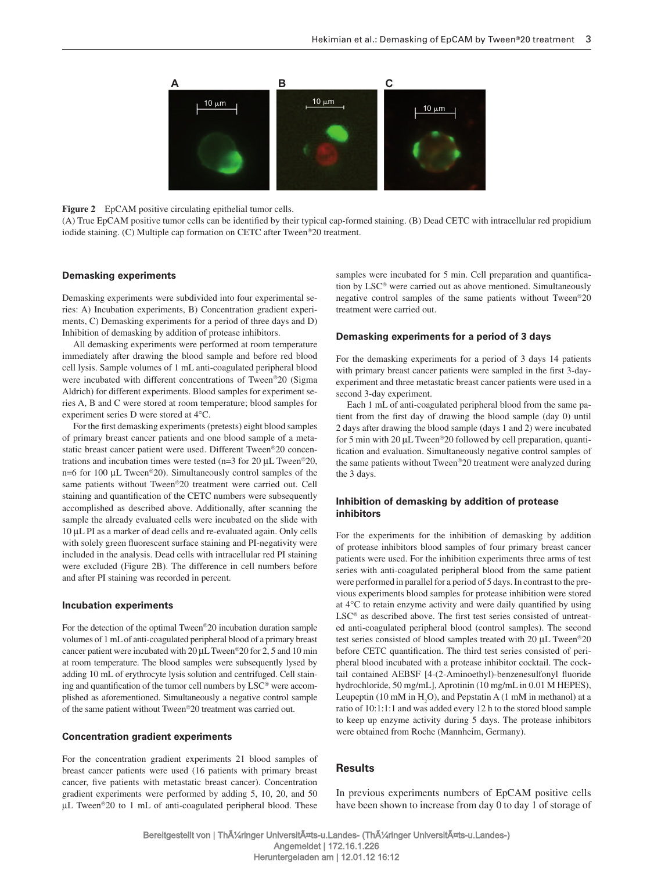

## **Figure 2** EpCAM positive circulating epithelial tumor cells.

(A) True EpCAM positive tumor cells can be identified by their typical cap-formed staining. (B) Dead CETC with intracellular red propidium iodide staining. (C) Multiple cap formation on CETC after Tween<sup>®</sup>20 treatment.

#### **Demasking experiments**

 Demasking experiments were subdivided into four experimental series: A) Incubation experiments, B) Concentration gradient experiments, C) Demasking experiments for a period of three days and D) Inhibition of demasking by addition of protease inhibitors.

 All demasking experiments were performed at room temperature immediately after drawing the blood sample and before red blood cell lysis. Sample volumes of 1 mL anti-coagulated peripheral blood were incubated with different concentrations of Tween®20 (Sigma Aldrich) for different experiments. Blood samples for experiment series A, B and C were stored at room temperature; blood samples for experiment series D were stored at 4°C.

For the first demasking experiments (pretests) eight blood samples of primary breast cancer patients and one blood sample of a metastatic breast cancer patient were used. Different Tween®20 concentrations and incubation times were tested (n=3 for 20  $\mu$ L Tween<sup>®</sup>20, n=6 for 100  $\mu$ L Tween<sup>®</sup>20). Simultaneously control samples of the same patients without Tween<sup>®</sup>20 treatment were carried out. Cell staining and quantification of the CETC numbers were subsequently accomplished as described above. Additionally, after scanning the sample the already evaluated cells were incubated on the slide with 10 µ L PI as a marker of dead cells and re-evaluated again. Only cells with solely green fluorescent surface staining and PI-negativity were included in the analysis. Dead cells with intracellular red PI staining were excluded (Figure 2B). The difference in cell numbers before and after PI staining was recorded in percent.

#### **Incubation experiments**

For the detection of the optimal Tween<sup>®</sup>20 incubation duration sample volumes of 1 mL of anti-coagulated peripheral blood of a primary breast cancer patient were incubated with  $20 \mu L$  Tween<sup>®</sup> $20$  for 2, 5 and 10 min at room temperature. The blood samples were subsequently lysed by adding 10 mL of erythrocyte lysis solution and centrifuged. Cell staining and quantification of the tumor cell numbers by  $LSC^{\circledast}$  were accomplished as aforementioned. Simultaneously a negative control sample of the same patient without Tween®20 treatment was carried out.

#### **Concentration gradient experiments**

 For the concentration gradient experiments 21 blood samples of breast cancer patients were used (16 patients with primary breast cancer, five patients with metastatic breast cancer). Concentration gradient experiments were performed by adding 5, 10, 20, and 50  $\mu$ L Tween<sup>®</sup>20 to 1 mL of anti-coagulated peripheral blood. These samples were incubated for 5 min. Cell preparation and quantification by LSC<sup>®</sup> were carried out as above mentioned. Simultaneously negative control samples of the same patients without Tween<sup>®</sup>20 treatment were carried out.

#### **Demasking experiments for a period of 3 days**

 For the demasking experiments for a period of 3 days 14 patients with primary breast cancer patients were sampled in the first 3-dayexperiment and three metastatic breast cancer patients were used in a second 3-day experiment.

 Each 1 mL of anti-coagulated peripheral blood from the same patient from the first day of drawing the blood sample (day 0) until 2 days after drawing the blood sample (days 1 and 2) were incubated for 5 min with 20  $\mu$ L Tween<sup>®</sup> 20 followed by cell preparation, quantification and evaluation. Simultaneously negative control samples of the same patients without Tween®20 treatment were analyzed during the 3 days.

## **Inhibition of demasking by addition of protease inhibitors**

 For the experiments for the inhibition of demasking by addition of protease inhibitors blood samples of four primary breast cancer patients were used. For the inhibition experiments three arms of test series with anti-coagulated peripheral blood from the same patient were performed in parallel for a period of 5 days. In contrast to the previous experiments blood samples for protease inhibition were stored at 4°C to retain enzyme activity and were daily quantified by using  $LSC^{\circledast}$  as described above. The first test series consisted of untreated anti-coagulated peripheral blood (control samples). The second test series consisted of blood samples treated with 20  $\mu$ L Tween<sup>®</sup>20 before CETC quantification. The third test series consisted of peripheral blood incubated with a protease inhibitor cocktail. The cocktail contained AEBSF [4-(2-Aminoethyl)-benzenesulfonyl fluoride hydrochloride, 50 mg/mL], Aprotinin (10 mg/mL in 0.01 M HEPES), Leupeptin (10 mM in  $H_2O$ ), and Pepstatin A (1 mM in methanol) at a ratio of 10:1:1:1 and was added every 12 h to the stored blood sample to keep up enzyme activity during 5 days. The protease inhibitors were obtained from Roche (Mannheim, Germany).

#### **Results**

 In previous experiments numbers of EpCAM positive cells have been shown to increase from day 0 to day 1 of storage of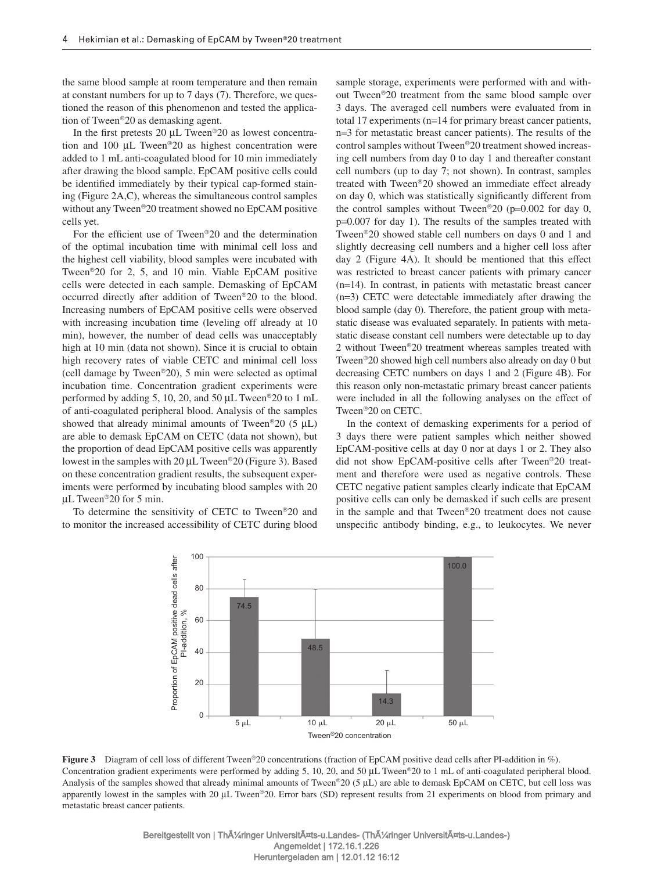the same blood sample at room temperature and then remain at constant numbers for up to 7 days (7) . Therefore, we questioned the reason of this phenomenon and tested the application of Tween<sup>®</sup>20 as demasking agent.

In the first pretests 20  $\mu$ L Tween<sup>®</sup> 20 as lowest concentration and 100  $\mu$ L Tween<sup>®</sup>20 as highest concentration were added to 1 mL anti-coagulated blood for 10 min immediately after drawing the blood sample. EpCAM positive cells could be identified immediately by their typical cap-formed staining (Figure 2A,C), whereas the simultaneous control samples without any Tween<sup>®</sup>20 treatment showed no EpCAM positive cells yet.

For the efficient use of Tween<sup>®</sup> $20$  and the determination of the optimal incubation time with minimal cell loss and the highest cell viability, blood samples were incubated with Tween<sup>®</sup>20 for 2, 5, and 10 min. Viable EpCAM positive cells were detected in each sample. Demasking of EpCAM occurred directly after addition of Tween®20 to the blood. Increasing numbers of EpCAM positive cells were observed with increasing incubation time (leveling off already at 10 min), however, the number of dead cells was unacceptably high at 10 min (data not shown). Since it is crucial to obtain high recovery rates of viable CETC and minimal cell loss (cell damage by Tween®20), 5 min were selected as optimal incubation time. Concentration gradient experiments were performed by adding 5, 10, 20, and 50  $\mu$ L Tween<sup>®</sup> 20 to 1 mL of anti-coagulated peripheral blood. Analysis of the samples showed that already minimal amounts of Tween<sup>®</sup>20 (5  $\mu$ L) are able to demask EpCAM on CETC (data not shown), but the proportion of dead EpCAM positive cells was apparently lowest in the samples with  $20 \mu L$  Tween<sup>®</sup> $20$  (Figure 3). Based on these concentration gradient results, the subsequent experiments were performed by incubating blood samples with 20 µ L Tween ® 20 for 5 min.

To determine the sensitivity of CETC to Tween®20 and to monitor the increased accessibility of CETC during blood sample storage, experiments were performed with and without Tween<sup>®</sup>20 treatment from the same blood sample over 3 days. The averaged cell numbers were evaluated from in total 17 experiments ( $n=14$  for primary breast cancer patients, n=3 for metastatic breast cancer patients). The results of the control samples without Tween<sup>®</sup>20 treatment showed increasing cell numbers from day 0 to day 1 and thereafter constant cell numbers (up to day 7; not shown). In contrast, samples treated with Tween®20 showed an immediate effect already on day 0, which was statistically significantly different from the control samples without Tween<sup>®</sup>20 ( $p=0.002$  for day 0, p=0.007 for day 1). The results of the samples treated with Tween<sup>®</sup>20 showed stable cell numbers on days 0 and 1 and slightly decreasing cell numbers and a higher cell loss after day 2 (Figure 4A). It should be mentioned that this effect was restricted to breast cancer patients with primary cancer  $(n=14)$ . In contrast, in patients with metastatic breast cancer  $(n=3)$  CETC were detectable immediately after drawing the blood sample (day 0). Therefore, the patient group with metastatic disease was evaluated separately. In patients with metastatic disease constant cell numbers were detectable up to day 2 without Tween<sup>®</sup>20 treatment whereas samples treated with Tween<sup>®</sup>20 showed high cell numbers also already on day 0 but decreasing CETC numbers on days 1 and 2 (Figure 4B). For this reason only non-metastatic primary breast cancer patients were included in all the following analyses on the effect of Tween<sup>®</sup>20 on CETC.

 In the context of demasking experiments for a period of 3 days there were patient samples which neither showed EpCAM-positive cells at day 0 nor at days 1 or 2. They also did not show EpCAM-positive cells after Tween®20 treatment and therefore were used as negative controls. These CETC negative patient samples clearly indicate that EpCAM positive cells can only be demasked if such cells are present in the sample and that Tween<sup>®</sup>20 treatment does not cause unspecific antibody binding, e.g., to leukocytes. We never



**Figure 3** Diagram of cell loss of different Tween<sup>®</sup>20 concentrations (fraction of EpCAM positive dead cells after PI-addition in %). Concentration gradient experiments were performed by adding 5, 10, 20, and 50 µL Tween®20 to 1 mL of anti-coagulated peripheral blood. Analysis of the samples showed that already minimal amounts of Tween®20 (5 µL) are able to demask EpCAM on CETC, but cell loss was apparently lowest in the samples with 20 µL Tween®20. Error bars (SD) represent results from 21 experiments on blood from primary and metastatic breast cancer patients.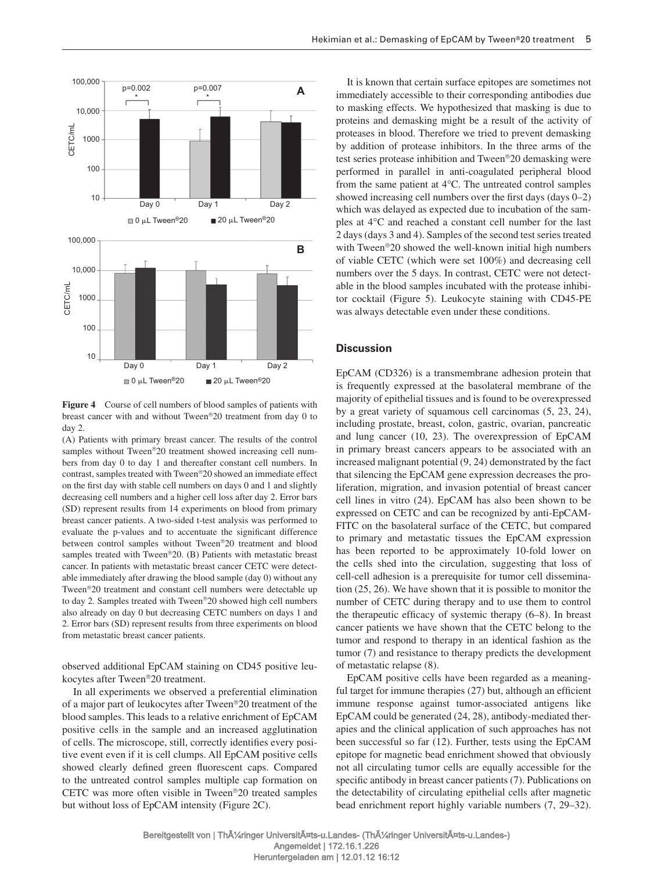

**Figure 4** Course of cell numbers of blood samples of patients with breast cancer with and without Tween®20 treatment from day 0 to day 2.

 (A) Patients with primary breast cancer. The results of the control samples without Tween®20 treatment showed increasing cell numbers from day 0 to day 1 and thereafter constant cell numbers. In contrast, samples treated with Tween®20 showed an immediate effect on the first day with stable cell numbers on days 0 and 1 and slightly decreasing cell numbers and a higher cell loss after day 2. Error bars (SD) represent results from 14 experiments on blood from primary breast cancer patients. A two-sided t-test analysis was performed to evaluate the p-values and to accentuate the significant difference between control samples without Tween®20 treatment and blood samples treated with Tween<sup>®</sup>20. (B) Patients with metastatic breast cancer. In patients with metastatic breast cancer CETC were detectable immediately after drawing the blood sample (day 0) without any Tween<sup>®</sup>20 treatment and constant cell numbers were detectable up to day 2. Samples treated with Tween®20 showed high cell numbers also already on day 0 but decreasing CETC numbers on days 1 and 2. Error bars (SD) represent results from three experiments on blood from metastatic breast cancer patients.

observed additional EpCAM staining on CD45 positive leukocytes after Tween<sup>®</sup>20 treatment.

 In all experiments we observed a preferential elimination of a major part of leukocytes after Tween ® 20 treatment of the blood samples. This leads to a relative enrichment of EpCAM positive cells in the sample and an increased agglutination of cells. The microscope, still, correctly identifies every positive event even if it is cell clumps. All EpCAM positive cells showed clearly defined green fluorescent caps. Compared to the untreated control samples multiple cap formation on CETC was more often visible in Tween®20 treated samples but without loss of EpCAM intensity (Figure 2C).

 It is known that certain surface epitopes are sometimes not immediately accessible to their corresponding antibodies due to masking effects. We hypothesized that masking is due to proteins and demasking might be a result of the activity of proteases in blood. Therefore we tried to prevent demasking by addition of protease inhibitors. In the three arms of the test series protease inhibition and Tween ® 20 demasking were performed in parallel in anti-coagulated peripheral blood from the same patient at  $4^{\circ}$ C. The untreated control samples showed increasing cell numbers over the first days  $(0-2)$ which was delayed as expected due to incubation of the samples at 4°C and reached a constant cell number for the last 2 days (days 3 and 4). Samples of the second test series treated with Tween<sup>®</sup>20 showed the well-known initial high numbers of viable CETC (which were set 100%) and decreasing cell numbers over the 5 days. In contrast, CETC were not detectable in the blood samples incubated with the protease inhibitor cocktail (Figure 5). Leukocyte staining with CD45-PE was always detectable even under these conditions.

## **Discussion**

 EpCAM (CD326) is a transmembrane adhesion protein that is frequently expressed at the basolateral membrane of the majority of epithelial tissues and is found to be overexpressed by a great variety of squamous cell carcinomas  $(5, 23, 24)$ , including prostate, breast, colon, gastric, ovarian, pancreatic and lung cancer (10, 23). The overexpression of EpCAM in primary breast cancers appears to be associated with an increased malignant potential (9, 24) demonstrated by the fact that silencing the EpCAM gene expression decreases the proliferation, migration, and invasion potential of breast cancer cell lines in vitro (24) . EpCAM has also been shown to be expressed on CETC and can be recognized by anti-EpCAM-FITC on the basolateral surface of the CETC, but compared to primary and metastatic tissues the EpCAM expression has been reported to be approximately 10-fold lower on the cells shed into the circulation, suggesting that loss of cell-cell adhesion is a prerequisite for tumor cell dissemination (25, 26) . We have shown that it is possible to monitor the number of CETC during therapy and to use them to control the therapeutic efficacy of systemic therapy  $(6-8)$ . In breast cancer patients we have shown that the CETC belong to the tumor and respond to therapy in an identical fashion as the tumor (7) and resistance to therapy predicts the development of metastatic relapse (8).

 EpCAM positive cells have been regarded as a meaningful target for immune therapies (27) but, although an efficient immune response against tumor-associated antigens like EpCAM could be generated (24, 28) , antibody-mediated therapies and the clinical application of such approaches has not been successful so far (12). Further, tests using the EpCAM epitope for magnetic bead enrichment showed that obviously not all circulating tumor cells are equally accessible for the specific antibody in breast cancer patients (7). Publications on the detectability of circulating epithelial cells after magnetic bead enrichment report highly variable numbers (7, 29–32).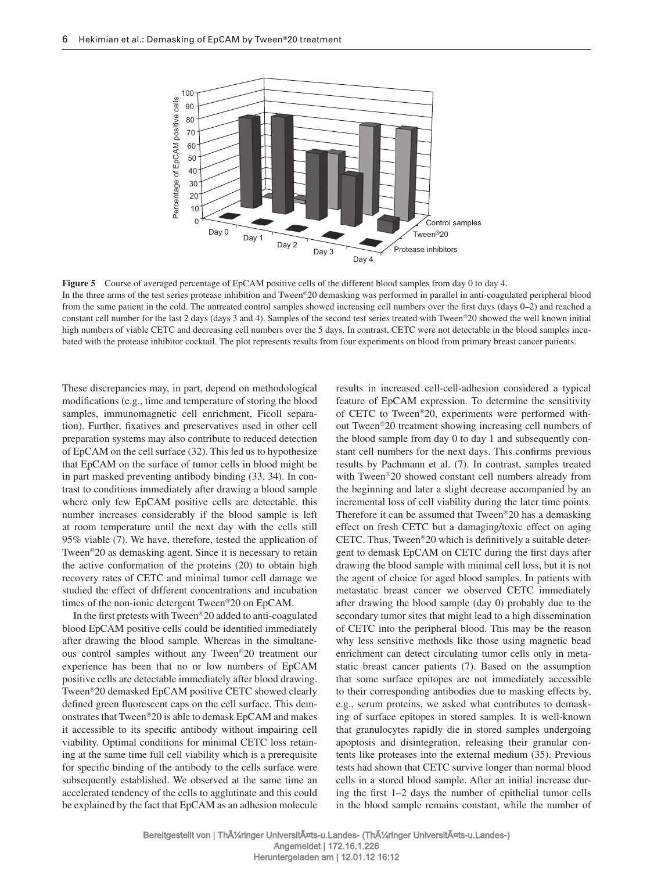

**Figure 5** Course of averaged percentage of EpCAM positive cells of the different blood samples from day 0 to day 4. In the three arms of the test series protease inhibition and Tween®20 demasking was performed in parallel in anti-coagulated peripheral blood from the same patient in the cold. The untreated control samples showed increasing cell numbers over the first days (days 0-2) and reached a constant cell number for the last 2 days (days 3 and 4). Samples of the second test series treated with Tween ® 20 showed the well known initial high numbers of viable CETC and decreasing cell numbers over the 5 days. In contrast, CETC were not detectable in the blood samples incubated with the protease inhibitor cocktail. The plot represents results from four experiments on blood from primary breast cancer patients.

These discrepancies may, in part, depend on methodological modifications (e.g., time and temperature of storing the blood samples, immunomagnetic cell enrichment, Ficoll separation). Further, fixatives and preservatives used in other cell preparation systems may also contribute to reduced detection of EpCAM on the cell surface (32) . This led us to hypothesize that EpCAM on the surface of tumor cells in blood might be in part masked preventing antibody binding (33, 34) . In contrast to conditions immediately after drawing a blood sample where only few EpCAM positive cells are detectable, this number increases considerably if the blood sample is left at room temperature until the next day with the cells still 95% viable (7). We have, therefore, tested the application of Tween<sup>®</sup>20 as demasking agent. Since it is necessary to retain the active conformation of the proteins (20) to obtain high recovery rates of CETC and minimal tumor cell damage we studied the effect of different concentrations and incubation times of the non-ionic detergent Tween<sup>®</sup>20 on EpCAM.

In the first pretests with Tween®20 added to anti-coagulated blood EpCAM positive cells could be identified immediately after drawing the blood sample. Whereas in the simultaneous control samples without any Tween®20 treatment our experience has been that no or low numbers of EpCAM positive cells are detectable immediately after blood drawing. Tween<sup>®</sup>20 demasked EpCAM positive CETC showed clearly defined green fluorescent caps on the cell surface. This demonstrates that Tween<sup>®</sup>20 is able to demask EpCAM and makes it accessible to its specific antibody without impairing cell viability. Optimal conditions for minimal CETC loss retaining at the same time full cell viability which is a prerequisite for specific binding of the antibody to the cells surface were subsequently established. We observed at the same time an accelerated tendency of the cells to agglutinate and this could be explained by the fact that EpCAM as an adhesion molecule results in increased cell-cell-adhesion considered a typical feature of EpCAM expression. To determine the sensitivity of CETC to Tween<sup>®</sup>20, experiments were performed without Tween ® 20 treatment showing increasing cell numbers of the blood sample from day 0 to day 1 and subsequently constant cell numbers for the next days. This confirms previous results by Pachmann et al. (7). In contrast, samples treated with Tween<sup>®</sup>20 showed constant cell numbers already from the beginning and later a slight decrease accompanied by an incremental loss of cell viability during the later time points. Therefore it can be assumed that Tween<sup>®</sup> $20$  has a demasking effect on fresh CETC but a damaging/toxic effect on aging CETC. Thus, Tween<sup>®</sup> $20$  which is definitively a suitable detergent to demask EpCAM on CETC during the first days after drawing the blood sample with minimal cell loss, but it is not the agent of choice for aged blood samples. In patients with metastatic breast cancer we observed CETC immediately after drawing the blood sample (day 0) probably due to the secondary tumor sites that might lead to a high dissemination of CETC into the peripheral blood. This may be the reason why less sensitive methods like those using magnetic bead enrichment can detect circulating tumor cells only in metastatic breast cancer patients (7). Based on the assumption that some surface epitopes are not immediately accessible to their corresponding antibodies due to masking effects by, e.g., serum proteins, we asked what contributes to demasking of surface epitopes in stored samples. It is well-known that granulocytes rapidly die in stored samples undergoing apoptosis and disintegration, releasing their granular contents like proteases into the external medium (35) . Previous tests had shown that CETC survive longer than normal blood cells in a stored blood sample. After an initial increase during the first  $1-2$  days the number of epithelial tumor cells in the blood sample remains constant, while the number of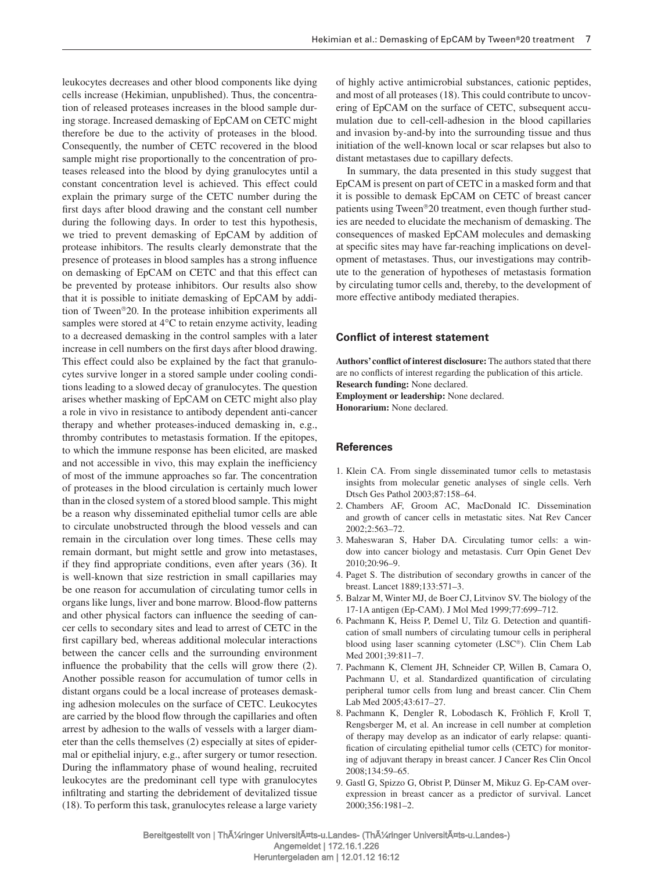leukocytes decreases and other blood components like dying cells increase (Hekimian, unpublished). Thus, the concentration of released proteases increases in the blood sample during storage. Increased demasking of EpCAM on CETC might therefore be due to the activity of proteases in the blood. Consequently, the number of CETC recovered in the blood sample might rise proportionally to the concentration of proteases released into the blood by dying granulocytes until a constant concentration level is achieved. This effect could explain the primary surge of the CETC number during the first days after blood drawing and the constant cell number during the following days. In order to test this hypothesis, we tried to prevent demasking of EpCAM by addition of protease inhibitors. The results clearly demonstrate that the presence of proteases in blood samples has a strong influence on demasking of EpCAM on CETC and that this effect can be prevented by protease inhibitors. Our results also show that it is possible to initiate demasking of EpCAM by addition of Tween<sup>®</sup>20. In the protease inhibition experiments all samples were stored at  $4^{\circ}$ C to retain enzyme activity, leading to a decreased demasking in the control samples with a later increase in cell numbers on the first days after blood drawing. This effect could also be explained by the fact that granulocytes survive longer in a stored sample under cooling conditions leading to a slowed decay of granulocytes. The question arises whether masking of EpCAM on CETC might also play a role in vivo in resistance to antibody dependent anti-cancer therapy and whether proteases-induced demasking in, e.g., thromby contributes to metastasis formation. If the epitopes, to which the immune response has been elicited, are masked and not accessible in vivo, this may explain the inefficiency of most of the immune approaches so far. The concentration of proteases in the blood circulation is certainly much lower than in the closed system of a stored blood sample. This might be a reason why disseminated epithelial tumor cells are able to circulate unobstructed through the blood vessels and can remain in the circulation over long times. These cells may remain dormant, but might settle and grow into metastases, if they find appropriate conditions, even after years (36). It is well-known that size restriction in small capillaries may be one reason for accumulation of circulating tumor cells in organs like lungs, liver and bone marrow. Blood-flow patterns and other physical factors can influence the seeding of cancer cells to secondary sites and lead to arrest of CETC in the first capillary bed, whereas additional molecular interactions between the cancer cells and the surrounding environment influence the probability that the cells will grow there (2). Another possible reason for accumulation of tumor cells in distant organs could be a local increase of proteases demasking adhesion molecules on the surface of CETC. Leukocytes are carried by the blood flow through the capillaries and often arrest by adhesion to the walls of vessels with a larger diameter than the cells themselves (2) especially at sites of epidermal or epithelial injury, e.g., after surgery or tumor resection. During the inflammatory phase of wound healing, recruited leukocytes are the predominant cell type with granulocytes infiltrating and starting the debridement of devitalized tissue (18) . To perform this task, granulocytes release a large variety

of highly active antimicrobial substances, cationic peptides, and most of all proteases (18) . This could contribute to uncovering of EpCAM on the surface of CETC, subsequent accumulation due to cell-cell-adhesion in the blood capillaries and invasion by-and-by into the surrounding tissue and thus initiation of the well-known local or scar relapses but also to distant metastases due to capillary defects.

 In summary, the data presented in this study suggest that EpCAM is present on part of CETC in a masked form and that it is possible to demask EpCAM on CETC of breast cancer patients using Tween<sup>®</sup>20 treatment, even though further studies are needed to elucidate the mechanism of demasking. The consequences of masked EpCAM molecules and demasking at specific sites may have far-reaching implications on development of metastases. Thus, our investigations may contribute to the generation of hypotheses of metastasis formation by circulating tumor cells and, thereby, to the development of more effective antibody mediated therapies.

## **Conflict of interest statement**

Authors' conflict of interest disclosure: The authors stated that there are no conflicts of interest regarding the publication of this article. **Research funding:** None declared. **Employment or leadership:** None declared.

**Honorarium:** None declared.

# **References**

- 1. Klein CA. From single disseminated tumor cells to metastasis insights from molecular genetic analyses of single cells. Verh Dtsch Ges Pathol 2003;87:158-64.
- 2. Chambers AF, Groom AC, MacDonald IC. Dissemination and growth of cancer cells in metastatic sites. Nat Rev Cancer  $2002:2:563 - 72$ .
- 3. Maheswaran S, Haber DA. Circulating tumor cells: a window into cancer biology and metastasis. Curr Opin Genet Dev 2010;20:96-9.
- 4. Paget S. The distribution of secondary growths in cancer of the breast. Lancet 1889;133:571-3.
- 5. Balzar M, Winter MJ, de Boer CJ, Litvinov SV. The biology of the 17-1A antigen (Ep-CAM). J Mol Med 1999;77:699-712.
- 6. Pachmann K, Heiss P, Demel U, Tilz G. Detection and quantifi cation of small numbers of circulating tumour cells in peripheral blood using laser scanning cytometer (LSC®). Clin Chem Lab Med 2001;39:811-7.
- 7. Pachmann K, Clement JH, Schneider CP, Willen B, Camara O, Pachmann U, et al. Standardized quantification of circulating peripheral tumor cells from lung and breast cancer. Clin Chem Lab Med 2005;43:617-27.
- 8. Pachmann K, Dengler R, Lobodasch K, Fröhlich F, Kroll T, Rengsberger M, et al. An increase in cell number at completion of therapy may develop as an indicator of early relapse: quantification of circulating epithelial tumor cells (CETC) for monitoring of adjuvant therapy in breast cancer. J Cancer Res Clin Oncol 2008;134:59-65.
- 9. Gastl G, Spizzo G, Obrist P, Dünser M, Mikuz G. Ep-CAM overexpression in breast cancer as a predictor of survival. Lancet  $2000:356:1981 - 2$